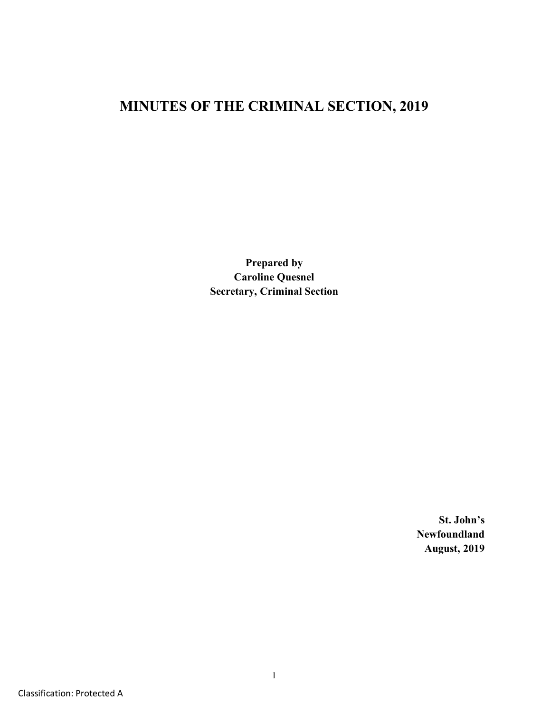# **MINUTES OF THE CRIMINAL SECTION, 2019**

**Prepared by Caroline Quesnel Secretary, Criminal Section**

> **St. John's Newfoundland August, 2019**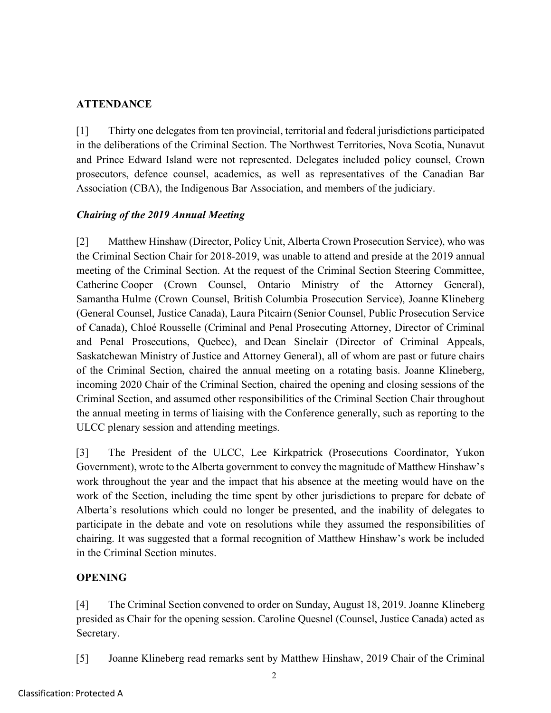# **ATTENDANCE**

[1] Thirty one delegates from ten provincial, territorial and federal jurisdictions participated in the deliberations of the Criminal Section. The Northwest Territories, Nova Scotia, Nunavut and Prince Edward Island were not represented. Delegates included policy counsel, Crown prosecutors, defence counsel, academics, as well as representatives of the Canadian Bar Association (CBA), the Indigenous Bar Association, and members of the judiciary.

# *Chairing of the 2019 Annual Meeting*

[2] Matthew Hinshaw (Director, Policy Unit, Alberta Crown Prosecution Service), who was the Criminal Section Chair for 2018-2019, was unable to attend and preside at the 2019 annual meeting of the Criminal Section. At the request of the Criminal Section Steering Committee, Catherine Cooper (Crown Counsel, Ontario Ministry of the Attorney General), Samantha Hulme (Crown Counsel, British Columbia Prosecution Service), Joanne Klineberg (General Counsel, Justice Canada), Laura Pitcairn (Senior Counsel, Public Prosecution Service of Canada), Chloé Rousselle (Criminal and Penal Prosecuting Attorney, Director of Criminal and Penal Prosecutions, Quebec), and Dean Sinclair (Director of Criminal Appeals, Saskatchewan Ministry of Justice and Attorney General), all of whom are past or future chairs of the Criminal Section, chaired the annual meeting on a rotating basis. Joanne Klineberg, incoming 2020 Chair of the Criminal Section, chaired the opening and closing sessions of the Criminal Section, and assumed other responsibilities of the Criminal Section Chair throughout the annual meeting in terms of liaising with the Conference generally, such as reporting to the ULCC plenary session and attending meetings.

[3] The President of the ULCC, Lee Kirkpatrick (Prosecutions Coordinator, Yukon Government), wrote to the Alberta government to convey the magnitude of Matthew Hinshaw's work throughout the year and the impact that his absence at the meeting would have on the work of the Section, including the time spent by other jurisdictions to prepare for debate of Alberta's resolutions which could no longer be presented, and the inability of delegates to participate in the debate and vote on resolutions while they assumed the responsibilities of chairing. It was suggested that a formal recognition of Matthew Hinshaw's work be included in the Criminal Section minutes.

# **OPENING**

[4] The Criminal Section convened to order on Sunday, August 18, 2019. Joanne Klineberg presided as Chair for the opening session. Caroline Quesnel (Counsel, Justice Canada) acted as Secretary.

[5] Joanne Klineberg read remarks sent by Matthew Hinshaw, 2019 Chair of the Criminal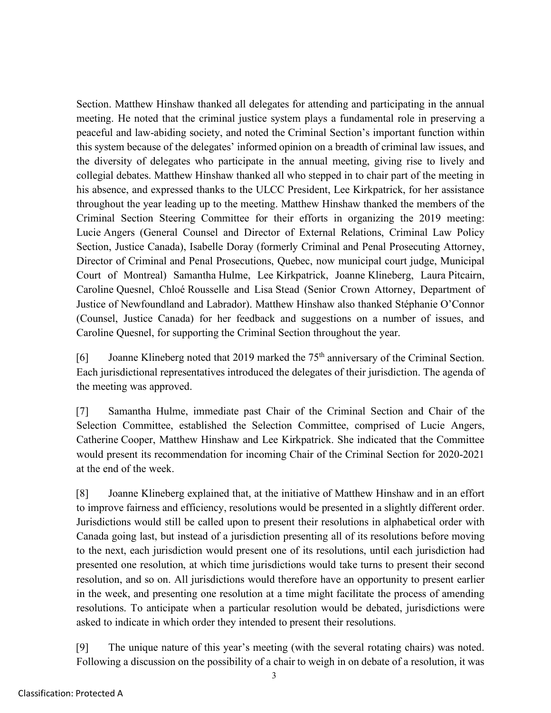Section. Matthew Hinshaw thanked all delegates for attending and participating in the annual meeting. He noted that the criminal justice system plays a fundamental role in preserving a peaceful and law-abiding society, and noted the Criminal Section's important function within this system because of the delegates' informed opinion on a breadth of criminal law issues, and the diversity of delegates who participate in the annual meeting, giving rise to lively and collegial debates. Matthew Hinshaw thanked all who stepped in to chair part of the meeting in his absence, and expressed thanks to the ULCC President, Lee Kirkpatrick, for her assistance throughout the year leading up to the meeting. Matthew Hinshaw thanked the members of the Criminal Section Steering Committee for their efforts in organizing the 2019 meeting: Lucie Angers (General Counsel and Director of External Relations, Criminal Law Policy Section, Justice Canada), Isabelle Doray (formerly Criminal and Penal Prosecuting Attorney, Director of Criminal and Penal Prosecutions, Quebec, now municipal court judge, Municipal Court of Montreal) Samantha Hulme, Lee Kirkpatrick, Joanne Klineberg, Laura Pitcairn, Caroline Quesnel, Chloé Rousselle and Lisa Stead (Senior Crown Attorney, Department of Justice of Newfoundland and Labrador). Matthew Hinshaw also thanked Stéphanie O'Connor (Counsel, Justice Canada) for her feedback and suggestions on a number of issues, and Caroline Quesnel, for supporting the Criminal Section throughout the year.

[6] Joanne Klineberg noted that 2019 marked the 75<sup>th</sup> anniversary of the Criminal Section. Each jurisdictional representatives introduced the delegates of their jurisdiction. The agenda of the meeting was approved.

[7] Samantha Hulme, immediate past Chair of the Criminal Section and Chair of the Selection Committee, established the Selection Committee, comprised of Lucie Angers, Catherine Cooper, Matthew Hinshaw and Lee Kirkpatrick. She indicated that the Committee would present its recommendation for incoming Chair of the Criminal Section for 2020-2021 at the end of the week.

[8] Joanne Klineberg explained that, at the initiative of Matthew Hinshaw and in an effort to improve fairness and efficiency, resolutions would be presented in a slightly different order. Jurisdictions would still be called upon to present their resolutions in alphabetical order with Canada going last, but instead of a jurisdiction presenting all of its resolutions before moving to the next, each jurisdiction would present one of its resolutions, until each jurisdiction had presented one resolution, at which time jurisdictions would take turns to present their second resolution, and so on. All jurisdictions would therefore have an opportunity to present earlier in the week, and presenting one resolution at a time might facilitate the process of amending resolutions. To anticipate when a particular resolution would be debated, jurisdictions were asked to indicate in which order they intended to present their resolutions.

[9] The unique nature of this year's meeting (with the several rotating chairs) was noted. Following a discussion on the possibility of a chair to weigh in on debate of a resolution, it was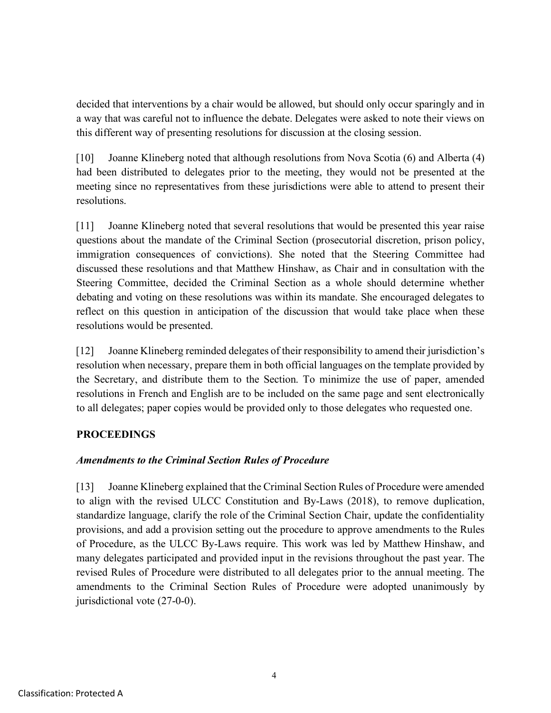decided that interventions by a chair would be allowed, but should only occur sparingly and in a way that was careful not to influence the debate. Delegates were asked to note their views on this different way of presenting resolutions for discussion at the closing session.

[10] Joanne Klineberg noted that although resolutions from Nova Scotia (6) and Alberta (4) had been distributed to delegates prior to the meeting, they would not be presented at the meeting since no representatives from these jurisdictions were able to attend to present their resolutions.

[11] Joanne Klineberg noted that several resolutions that would be presented this year raise questions about the mandate of the Criminal Section (prosecutorial discretion, prison policy, immigration consequences of convictions). She noted that the Steering Committee had discussed these resolutions and that Matthew Hinshaw, as Chair and in consultation with the Steering Committee, decided the Criminal Section as a whole should determine whether debating and voting on these resolutions was within its mandate. She encouraged delegates to reflect on this question in anticipation of the discussion that would take place when these resolutions would be presented.

[12] Joanne Klineberg reminded delegates of their responsibility to amend their jurisdiction's resolution when necessary, prepare them in both official languages on the template provided by the Secretary, and distribute them to the Section. To minimize the use of paper, amended resolutions in French and English are to be included on the same page and sent electronically to all delegates; paper copies would be provided only to those delegates who requested one.

## **PROCEEDINGS**

## *Amendments to the Criminal Section Rules of Procedure*

[13] Joanne Klineberg explained that the Criminal Section Rules of Procedure were amended to align with the revised ULCC Constitution and By-Laws (2018), to remove duplication, standardize language, clarify the role of the Criminal Section Chair, update the confidentiality provisions, and add a provision setting out the procedure to approve amendments to the Rules of Procedure, as the ULCC By-Laws require. This work was led by Matthew Hinshaw, and many delegates participated and provided input in the revisions throughout the past year. The revised Rules of Procedure were distributed to all delegates prior to the annual meeting. The amendments to the Criminal Section Rules of Procedure were adopted unanimously by jurisdictional vote (27-0-0).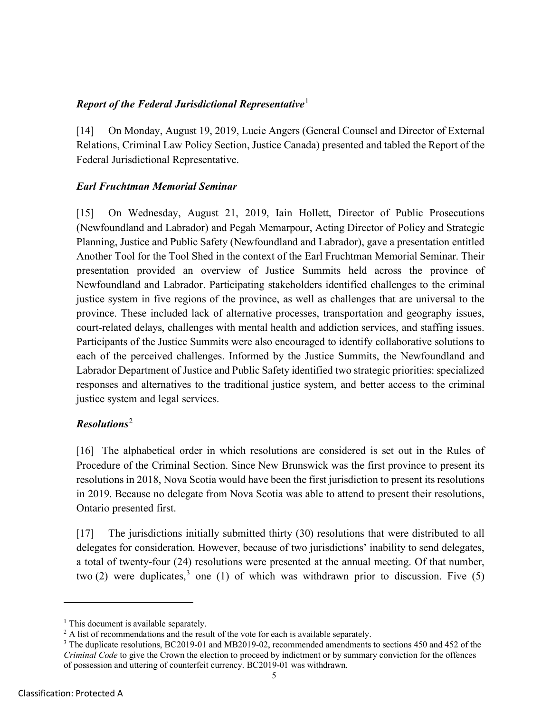## *Report of the Federal Jurisdictional Representative*[1](#page-4-0)

[14] On Monday, August 19, 2019, Lucie Angers (General Counsel and Director of External Relations, Criminal Law Policy Section, Justice Canada) presented and tabled the Report of the Federal Jurisdictional Representative.

## *Earl Fruchtman Memorial Seminar*

[15] On Wednesday, August 21, 2019, Iain Hollett, Director of Public Prosecutions (Newfoundland and Labrador) and Pegah Memarpour, Acting Director of Policy and Strategic Planning, Justice and Public Safety (Newfoundland and Labrador), gave a presentation entitled Another Tool for the Tool Shed in the context of the Earl Fruchtman Memorial Seminar. Their presentation provided an overview of Justice Summits held across the province of Newfoundland and Labrador. Participating stakeholders identified challenges to the criminal justice system in five regions of the province, as well as challenges that are universal to the province. These included lack of alternative processes, transportation and geography issues, court-related delays, challenges with mental health and addiction services, and staffing issues. Participants of the Justice Summits were also encouraged to identify collaborative solutions to each of the perceived challenges. Informed by the Justice Summits, the Newfoundland and Labrador Department of Justice and Public Safety identified two strategic priorities: specialized responses and alternatives to the traditional justice system, and better access to the criminal justice system and legal services.

# *Resolutions*[2](#page-4-1)

[16] The alphabetical order in which resolutions are considered is set out in the Rules of Procedure of the Criminal Section. Since New Brunswick was the first province to present its resolutions in 2018, Nova Scotia would have been the first jurisdiction to present its resolutions in 2019. Because no delegate from Nova Scotia was able to attend to present their resolutions, Ontario presented first.

[17] The jurisdictions initially submitted thirty (30) resolutions that were distributed to all delegates for consideration. However, because of two jurisdictions' inability to send delegates, a total of twenty-four (24) resolutions were presented at the annual meeting. Of that number, two (2) were duplicates,<sup>[3](#page-4-2)</sup> one (1) of which was withdrawn prior to discussion. Five (5)

<span id="page-4-0"></span> $<sup>1</sup>$  This document is available separately.</sup>

<span id="page-4-1"></span><sup>&</sup>lt;sup>2</sup> A list of recommendations and the result of the vote for each is available separately.

<span id="page-4-2"></span><sup>&</sup>lt;sup>3</sup> The duplicate resolutions, BC2019-01 and MB2019-02, recommended amendments to sections 450 and 452 of the *Criminal Code* to give the Crown the election to proceed by indictment or by summary conviction for the offences of possession and uttering of counterfeit currency. BC2019-01 was withdrawn.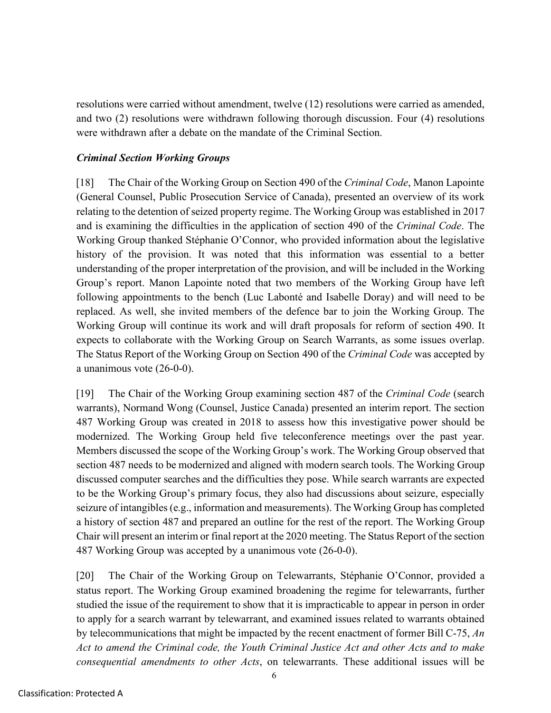resolutions were carried without amendment, twelve (12) resolutions were carried as amended, and two (2) resolutions were withdrawn following thorough discussion. Four (4) resolutions were withdrawn after a debate on the mandate of the Criminal Section.

### *Criminal Section Working Groups*

[18] The Chair of the Working Group on Section 490 of the *Criminal Code*, Manon Lapointe (General Counsel, Public Prosecution Service of Canada), presented an overview of its work relating to the detention of seized property regime. The Working Group was established in 2017 and is examining the difficulties in the application of section 490 of the *Criminal Code*. The Working Group thanked Stéphanie O'Connor, who provided information about the legislative history of the provision. It was noted that this information was essential to a better understanding of the proper interpretation of the provision, and will be included in the Working Group's report. Manon Lapointe noted that two members of the Working Group have left following appointments to the bench (Luc Labonté and Isabelle Doray) and will need to be replaced. As well, she invited members of the defence bar to join the Working Group. The Working Group will continue its work and will draft proposals for reform of section 490. It expects to collaborate with the Working Group on Search Warrants, as some issues overlap. The Status Report of the Working Group on Section 490 of the *Criminal Code* was accepted by a unanimous vote (26-0-0).

[19] The Chair of the Working Group examining section 487 of the *Criminal Code* (search warrants), Normand Wong (Counsel, Justice Canada) presented an interim report. The section 487 Working Group was created in 2018 to assess how this investigative power should be modernized. The Working Group held five teleconference meetings over the past year. Members discussed the scope of the Working Group's work. The Working Group observed that section 487 needs to be modernized and aligned with modern search tools. The Working Group discussed computer searches and the difficulties they pose. While search warrants are expected to be the Working Group's primary focus, they also had discussions about seizure, especially seizure of intangibles(e.g., information and measurements). The Working Group has completed a history of section 487 and prepared an outline for the rest of the report. The Working Group Chair will present an interim or final report at the 2020 meeting. The Status Report of the section 487 Working Group was accepted by a unanimous vote (26-0-0).

[20] The Chair of the Working Group on Telewarrants, Stéphanie O'Connor, provided a status report. The Working Group examined broadening the regime for telewarrants, further studied the issue of the requirement to show that it is impracticable to appear in person in order to apply for a search warrant by telewarrant, and examined issues related to warrants obtained by telecommunications that might be impacted by the recent enactment of former Bill C-75, *An Act to amend the Criminal code, the Youth Criminal Justice Act and other Acts and to make consequential amendments to other Acts*, on telewarrants. These additional issues will be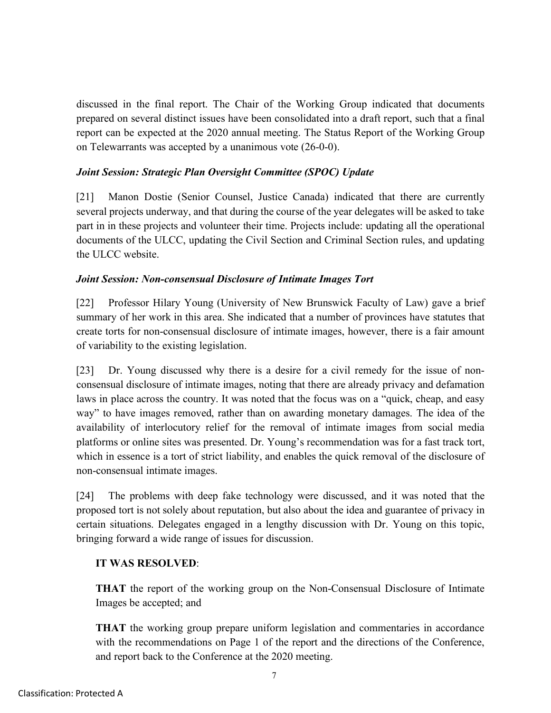discussed in the final report. The Chair of the Working Group indicated that documents prepared on several distinct issues have been consolidated into a draft report, such that a final report can be expected at the 2020 annual meeting. The Status Report of the Working Group on Telewarrants was accepted by a unanimous vote (26-0-0).

### *Joint Session: Strategic Plan Oversight Committee (SPOC) Update*

[21] Manon Dostie (Senior Counsel, Justice Canada) indicated that there are currently several projects underway, and that during the course of the year delegates will be asked to take part in in these projects and volunteer their time. Projects include: updating all the operational documents of the ULCC, updating the Civil Section and Criminal Section rules, and updating the ULCC website.

#### *Joint Session: Non-consensual Disclosure of Intimate Images Tort*

[22] Professor Hilary Young (University of New Brunswick Faculty of Law) gave a brief summary of her work in this area. She indicated that a number of provinces have statutes that create torts for non-consensual disclosure of intimate images, however, there is a fair amount of variability to the existing legislation.

[23] Dr. Young discussed why there is a desire for a civil remedy for the issue of nonconsensual disclosure of intimate images, noting that there are already privacy and defamation laws in place across the country. It was noted that the focus was on a "quick, cheap, and easy way" to have images removed, rather than on awarding monetary damages. The idea of the availability of interlocutory relief for the removal of intimate images from social media platforms or online sites was presented. Dr. Young's recommendation was for a fast track tort, which in essence is a tort of strict liability, and enables the quick removal of the disclosure of non-consensual intimate images.

[24] The problems with deep fake technology were discussed, and it was noted that the proposed tort is not solely about reputation, but also about the idea and guarantee of privacy in certain situations. Delegates engaged in a lengthy discussion with Dr. Young on this topic, bringing forward a wide range of issues for discussion.

#### **IT WAS RESOLVED**:

**THAT** the report of the working group on the Non-Consensual Disclosure of Intimate Images be accepted; and

**THAT** the working group prepare uniform legislation and commentaries in accordance with the recommendations on Page 1 of the report and the directions of the Conference, and report back to the Conference at the 2020 meeting.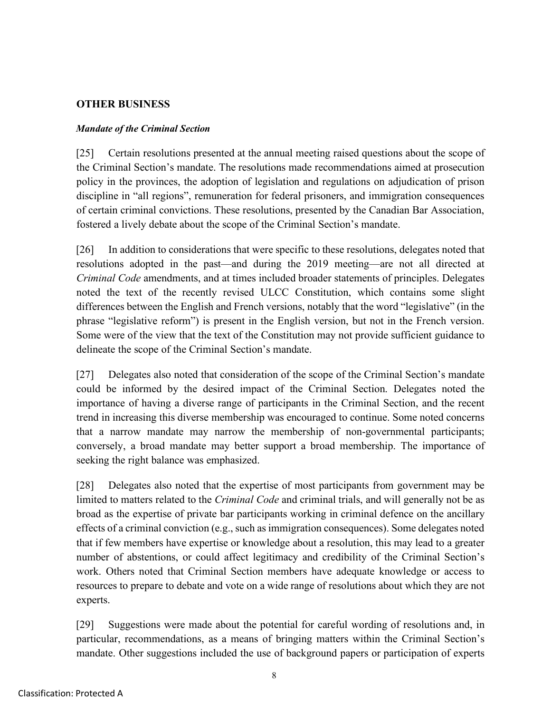## **OTHER BUSINESS**

### *Mandate of the Criminal Section*

[25] Certain resolutions presented at the annual meeting raised questions about the scope of the Criminal Section's mandate. The resolutions made recommendations aimed at prosecution policy in the provinces, the adoption of legislation and regulations on adjudication of prison discipline in "all regions", remuneration for federal prisoners, and immigration consequences of certain criminal convictions. These resolutions, presented by the Canadian Bar Association, fostered a lively debate about the scope of the Criminal Section's mandate.

[26] In addition to considerations that were specific to these resolutions, delegates noted that resolutions adopted in the past—and during the 2019 meeting—are not all directed at *Criminal Code* amendments, and at times included broader statements of principles. Delegates noted the text of the recently revised ULCC Constitution, which contains some slight differences between the English and French versions, notably that the word "legislative" (in the phrase "legislative reform") is present in the English version, but not in the French version. Some were of the view that the text of the Constitution may not provide sufficient guidance to delineate the scope of the Criminal Section's mandate.

[27] Delegates also noted that consideration of the scope of the Criminal Section's mandate could be informed by the desired impact of the Criminal Section. Delegates noted the importance of having a diverse range of participants in the Criminal Section, and the recent trend in increasing this diverse membership was encouraged to continue. Some noted concerns that a narrow mandate may narrow the membership of non-governmental participants; conversely, a broad mandate may better support a broad membership. The importance of seeking the right balance was emphasized.

[28] Delegates also noted that the expertise of most participants from government may be limited to matters related to the *Criminal Code* and criminal trials, and will generally not be as broad as the expertise of private bar participants working in criminal defence on the ancillary effects of a criminal conviction (e.g., such as immigration consequences). Some delegates noted that if few members have expertise or knowledge about a resolution, this may lead to a greater number of abstentions, or could affect legitimacy and credibility of the Criminal Section's work. Others noted that Criminal Section members have adequate knowledge or access to resources to prepare to debate and vote on a wide range of resolutions about which they are not experts.

[29] Suggestions were made about the potential for careful wording of resolutions and, in particular, recommendations, as a means of bringing matters within the Criminal Section's mandate. Other suggestions included the use of background papers or participation of experts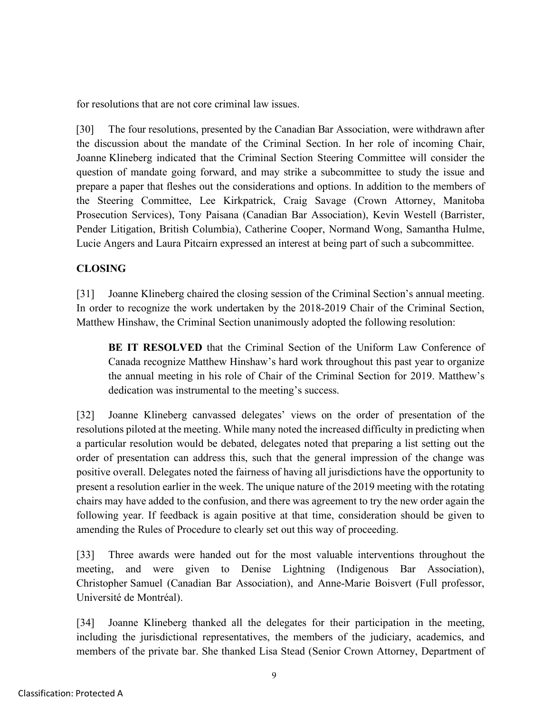for resolutions that are not core criminal law issues.

[30] The four resolutions, presented by the Canadian Bar Association, were withdrawn after the discussion about the mandate of the Criminal Section. In her role of incoming Chair, Joanne Klineberg indicated that the Criminal Section Steering Committee will consider the question of mandate going forward, and may strike a subcommittee to study the issue and prepare a paper that fleshes out the considerations and options. In addition to the members of the Steering Committee, Lee Kirkpatrick, Craig Savage (Crown Attorney, Manitoba Prosecution Services), Tony Paisana (Canadian Bar Association), Kevin Westell (Barrister, Pender Litigation, British Columbia), Catherine Cooper, Normand Wong, Samantha Hulme, Lucie Angers and Laura Pitcairn expressed an interest at being part of such a subcommittee.

## **CLOSING**

[31] Joanne Klineberg chaired the closing session of the Criminal Section's annual meeting. In order to recognize the work undertaken by the 2018-2019 Chair of the Criminal Section, Matthew Hinshaw, the Criminal Section unanimously adopted the following resolution:

**BE IT RESOLVED** that the Criminal Section of the Uniform Law Conference of Canada recognize Matthew Hinshaw's hard work throughout this past year to organize the annual meeting in his role of Chair of the Criminal Section for 2019. Matthew's dedication was instrumental to the meeting's success.

[32] Joanne Klineberg canvassed delegates' views on the order of presentation of the resolutions piloted at the meeting. While many noted the increased difficulty in predicting when a particular resolution would be debated, delegates noted that preparing a list setting out the order of presentation can address this, such that the general impression of the change was positive overall. Delegates noted the fairness of having all jurisdictions have the opportunity to present a resolution earlier in the week. The unique nature of the 2019 meeting with the rotating chairs may have added to the confusion, and there was agreement to try the new order again the following year. If feedback is again positive at that time, consideration should be given to amending the Rules of Procedure to clearly set out this way of proceeding.

[33] Three awards were handed out for the most valuable interventions throughout the meeting, and were given to Denise Lightning (Indigenous Bar Association), Christopher Samuel (Canadian Bar Association), and Anne-Marie Boisvert (Full professor, Université de Montréal).

[34] Joanne Klineberg thanked all the delegates for their participation in the meeting, including the jurisdictional representatives, the members of the judiciary, academics, and members of the private bar. She thanked Lisa Stead (Senior Crown Attorney, Department of